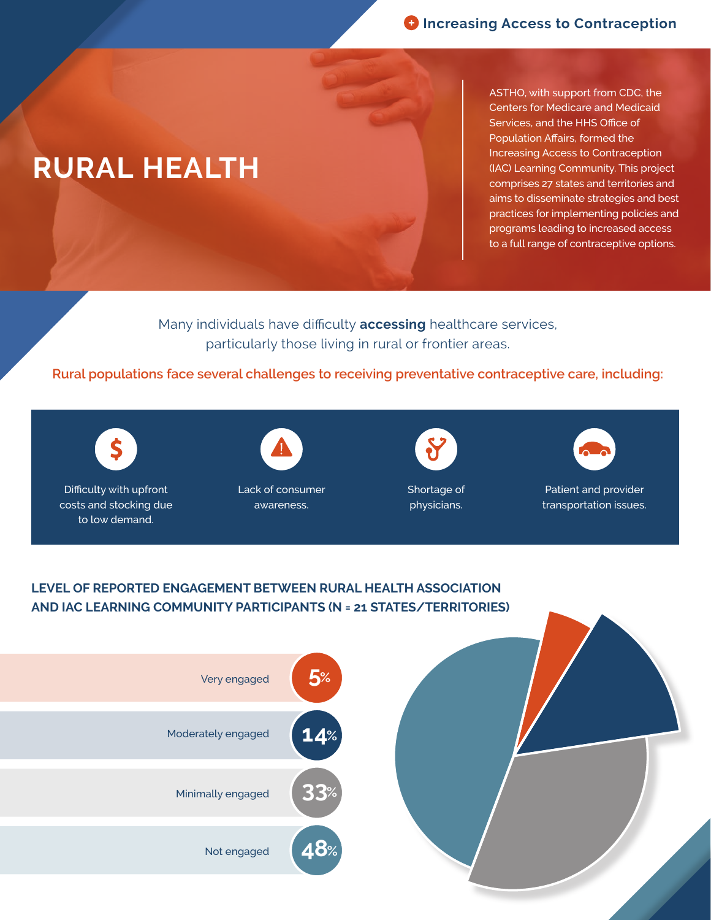## **RURAL HEALTH**

ASTHO, with support from CDC, the Centers for Medicare and Medicaid Services, and the HHS Office of Population Affairs, formed the Increasing Access to Contraception (IAC) Learning Community. This project comprises 27 states and territories and aims to disseminate strategies and best practices for implementing policies and programs leading to increased access to a full range of contraceptive options.

Many individuals have difficulty **accessing** healthcare services, particularly those living in rural or frontier areas.

**Rural populations face several challenges to receiving preventative contraceptive care, including:**



Difficulty with upfront costs and stocking due to low demand.



Lack of consumer awareness.

Shortage of physicians.



Patient and provider transportation issues.

## **LEVEL OF REPORTED ENGAGEMENT BETWEEN RURAL HEALTH ASSOCIATION AND IAC LEARNING COMMUNITY PARTICIPANTS (N = 21 STATES/TERRITORIES)**